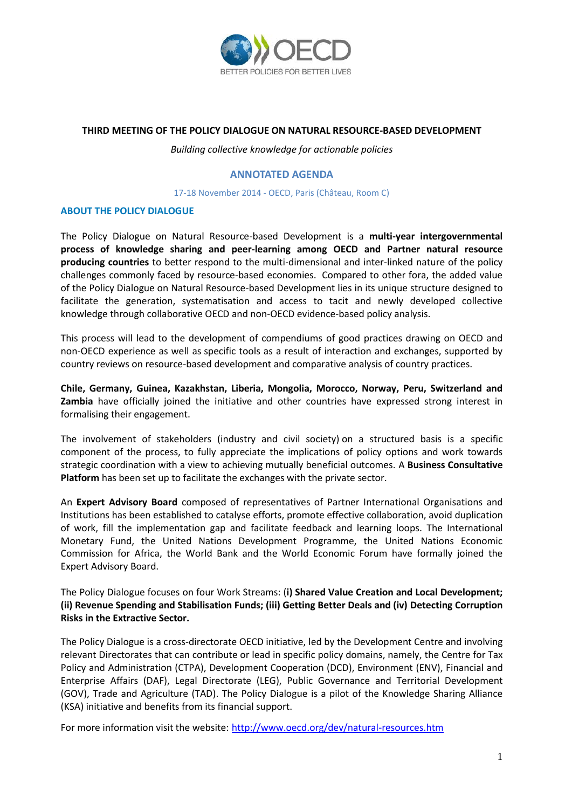

### **THIRD MEETING OF THE POLICY DIALOGUE ON NATURAL RESOURCE-BASED DEVELOPMENT**

*Building collective knowledge for actionable policies*

## **ANNOTATED AGENDA**

#### 17-18 November 2014 - OECD, Paris (Château, Room C)

### **ABOUT THE POLICY DIALOGUE**

The Policy Dialogue on Natural Resource-based Development is a **multi-year intergovernmental process of knowledge sharing and peer-learning among OECD and Partner natural resource producing countries** to better respond to the multi-dimensional and inter-linked nature of the policy challenges commonly faced by resource-based economies. Compared to other fora, the added value of the Policy Dialogue on Natural Resource-based Development lies in its unique structure designed to facilitate the generation, systematisation and access to tacit and newly developed collective knowledge through collaborative OECD and non-OECD evidence-based policy analysis.

This process will lead to the development of compendiums of good practices drawing on OECD and non-OECD experience as well as specific tools as a result of interaction and exchanges, supported by country reviews on resource-based development and comparative analysis of country practices.

**Chile, Germany, Guinea, Kazakhstan, Liberia, Mongolia, Morocco, Norway, Peru, Switzerland and Zambia** have officially joined the initiative and other countries have expressed strong interest in formalising their engagement.

The involvement of stakeholders (industry and civil society) on a structured basis is a specific component of the process, to fully appreciate the implications of policy options and work towards strategic coordination with a view to achieving mutually beneficial outcomes. A **Business Consultative Platform** has been set up to facilitate the exchanges with the private sector.

An **Expert Advisory Board** composed of representatives of Partner International Organisations and Institutions has been established to catalyse efforts, promote effective collaboration, avoid duplication of work, fill the implementation gap and facilitate feedback and learning loops. The International Monetary Fund, the United Nations Development Programme, the United Nations Economic Commission for Africa, the World Bank and the World Economic Forum have formally joined the Expert Advisory Board.

The Policy Dialogue focuses on four Work Streams: (**i) Shared Value Creation and Local Development; (ii) Revenue Spending and Stabilisation Funds; (iii) Getting Better Deals and (iv) Detecting Corruption Risks in the Extractive Sector.** 

The Policy Dialogue is a cross-directorate OECD initiative, led by the Development Centre and involving relevant Directorates that can contribute or lead in specific policy domains, namely, the Centre for Tax Policy and Administration (CTPA), Development Cooperation (DCD), Environment (ENV), Financial and Enterprise Affairs (DAF), Legal Directorate (LEG), Public Governance and Territorial Development (GOV), Trade and Agriculture (TAD). The Policy Dialogue is a pilot of the Knowledge Sharing Alliance (KSA) initiative and benefits from its financial support.

For more information visit the website: <http://www.oecd.org/dev/natural-resources.htm>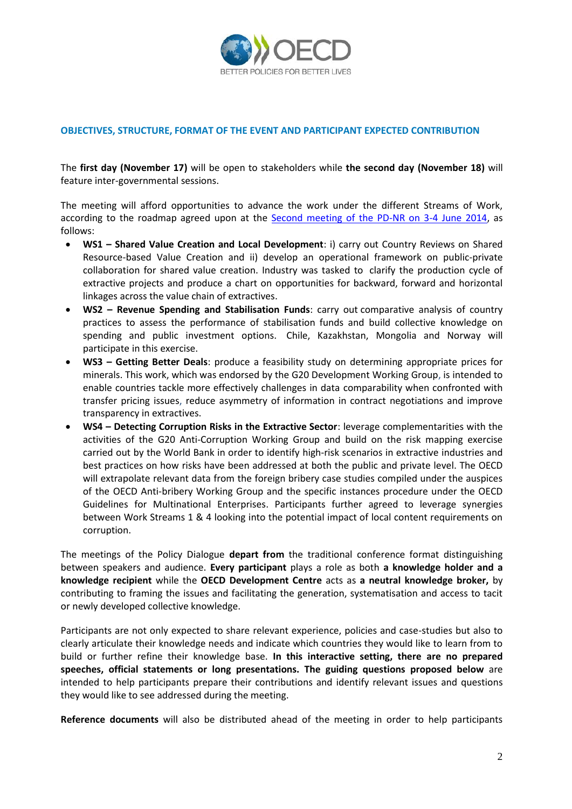

### **OBJECTIVES, STRUCTURE, FORMAT OF THE EVENT AND PARTICIPANT EXPECTED CONTRIBUTION**

The **first day (November 17)** will be open to stakeholders while **the second day (November 18)** will feature inter-governmental sessions.

The meeting will afford opportunities to advance the work under the different Streams of Work, according to the roadmap agreed upon at the **Second meeting of the PD-NR on 3-4 June 2014**, as follows:

- **WS1 – Shared Value Creation and Local Development**: i) carry out Country Reviews on Shared Resource-based Value Creation and ii) develop an operational framework on public-private collaboration for shared value creation. Industry was tasked to clarify the production cycle of extractive projects and produce a chart on opportunities for backward, forward and horizontal linkages across the value chain of extractives.
- **WS2 – Revenue Spending and Stabilisation Funds**: carry out comparative analysis of country practices to assess the performance of stabilisation funds and build collective knowledge on spending and public investment options. Chile, Kazakhstan, Mongolia and Norway will participate in this exercise.
- **WS3 – Getting Better Deals**: produce a feasibility study on determining appropriate prices for minerals. This work, which was endorsed by the G20 Development Working Group, is intended to enable countries tackle more effectively challenges in data comparability when confronted with transfer pricing issues, reduce asymmetry of information in contract negotiations and improve transparency in extractives.
- **WS4 – Detecting Corruption Risks in the Extractive Sector**: leverage complementarities with the activities of the G20 Anti-Corruption Working Group and build on the risk mapping exercise carried out by the World Bank in order to identify high-risk scenarios in extractive industries and best practices on how risks have been addressed at both the public and private level. The OECD will extrapolate relevant data from the foreign bribery case studies compiled under the auspices of the OECD Anti-bribery Working Group and the specific instances procedure under the OECD Guidelines for Multinational Enterprises. Participants further agreed to leverage synergies between Work Streams 1 & 4 looking into the potential impact of local content requirements on corruption.

The meetings of the Policy Dialogue **depart from** the traditional conference format distinguishing between speakers and audience. **Every participant** plays a role as both **a knowledge holder and a knowledge recipient** while the **OECD Development Centre** acts as **a neutral knowledge broker,** by contributing to framing the issues and facilitating the generation, systematisation and access to tacit or newly developed collective knowledge.

Participants are not only expected to share relevant experience, policies and case-studies but also to clearly articulate their knowledge needs and indicate which countries they would like to learn from to build or further refine their knowledge base. **In this interactive setting, there are no prepared speeches, official statements or long presentations. The guiding questions proposed below** are intended to help participants prepare their contributions and identify relevant issues and questions they would like to see addressed during the meeting.

**Reference documents** will also be distributed ahead of the meeting in order to help participants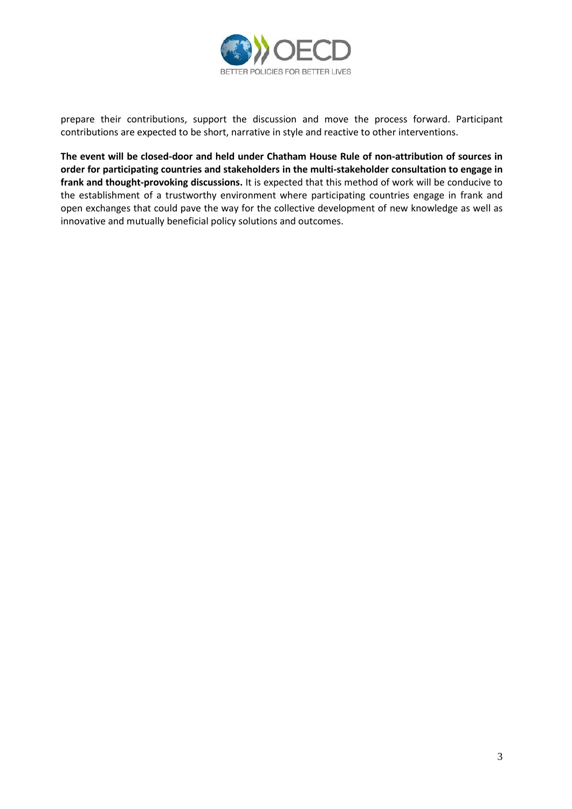

prepare their contributions, support the discussion and move the process forward. Participant contributions are expected to be short, narrative in style and reactive to other interventions.

**The event will be closed-door and held under Chatham House Rule of non-attribution of sources in order for participating countries and stakeholders in the multi-stakeholder consultation to engage in frank and thought-provoking discussions.** It is expected that this method of work will be conducive to the establishment of a trustworthy environment where participating countries engage in frank and open exchanges that could pave the way for the collective development of new knowledge as well as innovative and mutually beneficial policy solutions and outcomes.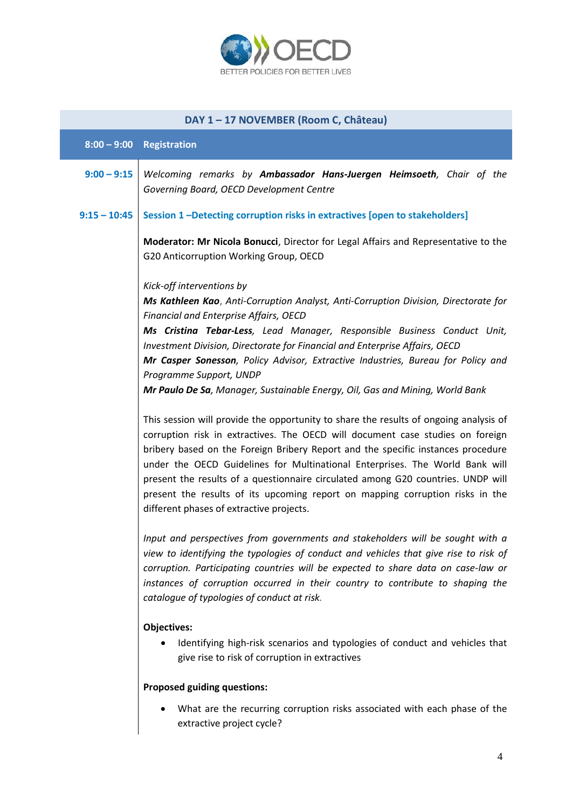

## **DAY 1 – 17 NOVEMBER (Room C, Château)**

#### **8:00 – 9:00 Registration**

# **9:00 – 9:15** *Welcoming remarks by Ambassador Hans-Juergen Heimsoeth, Chair of the Governing Board, OECD Development Centre*

## **9:15 – 10:45 Session 1 –Detecting corruption risks in extractives [open to stakeholders]**

**Moderator: Mr Nicola Bonucci**, Director for Legal Affairs and Representative to the G20 Anticorruption Working Group, OECD

*Kick-off interventions by*

*Ms Kathleen Kao*, *Anti-Corruption Analyst, Anti-Corruption Division, Directorate for Financial and Enterprise Affairs, OECD Ms Cristina Tebar-Less, Lead Manager, Responsible Business Conduct Unit, Investment Division, Directorate for Financial and Enterprise Affairs, OECD Mr Casper Sonesson, Policy Advisor, Extractive Industries, Bureau for Policy and Programme Support, UNDP Mr Paulo De Sa, Manager, Sustainable Energy, Oil, Gas and Mining, World Bank* 

This session will provide the opportunity to share the results of ongoing analysis of corruption risk in extractives. The OECD will document case studies on foreign bribery based on the Foreign Bribery Report and the specific instances procedure under the OECD Guidelines for Multinational Enterprises. The World Bank will present the results of a questionnaire circulated among G20 countries. UNDP will present the results of its upcoming report on mapping corruption risks in the different phases of extractive projects.

*Input and perspectives from governments and stakeholders will be sought with a view to identifying the typologies of conduct and vehicles that give rise to risk of corruption. Participating countries will be expected to share data on case-law or*  instances of corruption occurred in their country to contribute to shaping the *catalogue of typologies of conduct at risk.*

### **Objectives:**

• Identifying high-risk scenarios and typologies of conduct and vehicles that give rise to risk of corruption in extractives

### **Proposed guiding questions:**

 What are the recurring corruption risks associated with each phase of the extractive project cycle?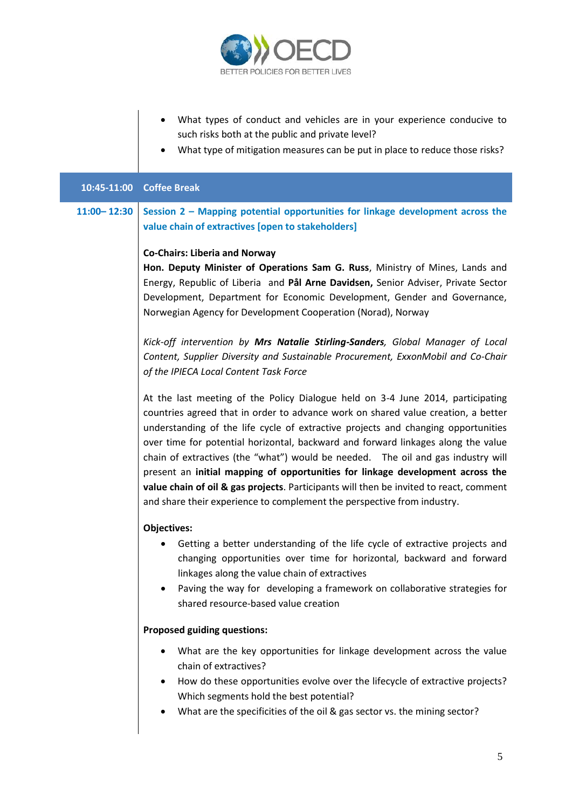

- What types of conduct and vehicles are in your experience conducive to such risks both at the public and private level?
- What type of mitigation measures can be put in place to reduce those risks?

## **10:45-11:00 Coffee Break**

**11:00– 12:30 Session 2 – Mapping potential opportunities for linkage development across the value chain of extractives [open to stakeholders]**

#### **Co-Chairs: Liberia and Norway**

**Hon. Deputy Minister of Operations Sam G. Russ**, Ministry of Mines, Lands and Energy, Republic of Liberia and **Pål Arne Davidsen,** Senior Adviser, Private Sector Development, Department for Economic Development, Gender and Governance, Norwegian Agency for Development Cooperation (Norad), Norway

*Kick-off intervention by Mrs Natalie Stirling-Sanders, Global Manager of Local Content, Supplier Diversity and Sustainable Procurement, ExxonMobil and Co-Chair of the IPIECA Local Content Task Force*

At the last meeting of the Policy Dialogue held on 3-4 June 2014, participating countries agreed that in order to advance work on shared value creation, a better understanding of the life cycle of extractive projects and changing opportunities over time for potential horizontal, backward and forward linkages along the value chain of extractives (the "what") would be needed. The oil and gas industry will present an **initial mapping of opportunities for linkage development across the value chain of oil & gas projects**. Participants will then be invited to react, comment and share their experience to complement the perspective from industry.

### **Objectives:**

- Getting a better understanding of the life cycle of extractive projects and changing opportunities over time for horizontal, backward and forward linkages along the value chain of extractives
- Paving the way for developing a framework on collaborative strategies for shared resource-based value creation

#### **Proposed guiding questions:**

- What are the key opportunities for linkage development across the value chain of extractives?
- How do these opportunities evolve over the lifecycle of extractive projects? Which segments hold the best potential?
- What are the specificities of the oil & gas sector vs. the mining sector?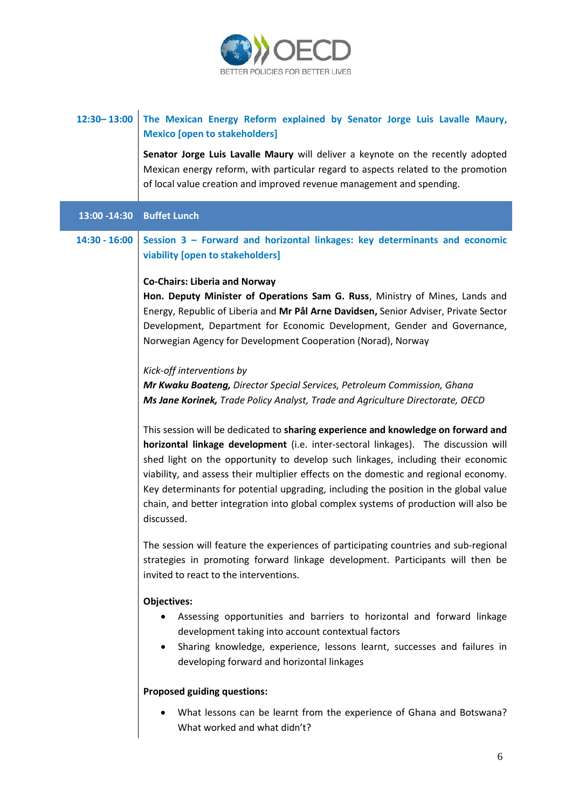

# **12:30– 13:00 The Mexican Energy Reform explained by Senator Jorge Luis Lavalle Maury, Mexico [open to stakeholders]**

**Senator Jorge Luis Lavalle Maury** will deliver a keynote on the recently adopted Mexican energy reform, with particular regard to aspects related to the promotion of local value creation and improved revenue management and spending.

## **13:00 -14:30 Buffet Lunch**

# **14:30 - 16:00 Session 3 – Forward and horizontal linkages: key determinants and economic viability [open to stakeholders]**

#### **Co-Chairs: Liberia and Norway**

**Hon. Deputy Minister of Operations Sam G. Russ**, Ministry of Mines, Lands and Energy, Republic of Liberia and **Mr Pål Arne Davidsen,** Senior Adviser, Private Sector Development, Department for Economic Development, Gender and Governance, Norwegian Agency for Development Cooperation (Norad), Norway

#### *Kick-off interventions by*

*Mr Kwaku Boateng, Director Special Services, Petroleum Commission, Ghana Ms Jane Korinek, Trade Policy Analyst, Trade and Agriculture Directorate, OECD*

This session will be dedicated to **sharing experience and knowledge on forward and horizontal linkage development** (i.e. inter-sectoral linkages). The discussion will shed light on the opportunity to develop such linkages, including their economic viability, and assess their multiplier effects on the domestic and regional economy. Key determinants for potential upgrading, including the position in the global value chain, and better integration into global complex systems of production will also be discussed.

The session will feature the experiences of participating countries and sub-regional strategies in promoting forward linkage development. Participants will then be invited to react to the interventions.

#### **Objectives:**

- Assessing opportunities and barriers to horizontal and forward linkage development taking into account contextual factors
- Sharing knowledge, experience, lessons learnt, successes and failures in developing forward and horizontal linkages

#### **Proposed guiding questions:**

 What lessons can be learnt from the experience of Ghana and Botswana? What worked and what didn't?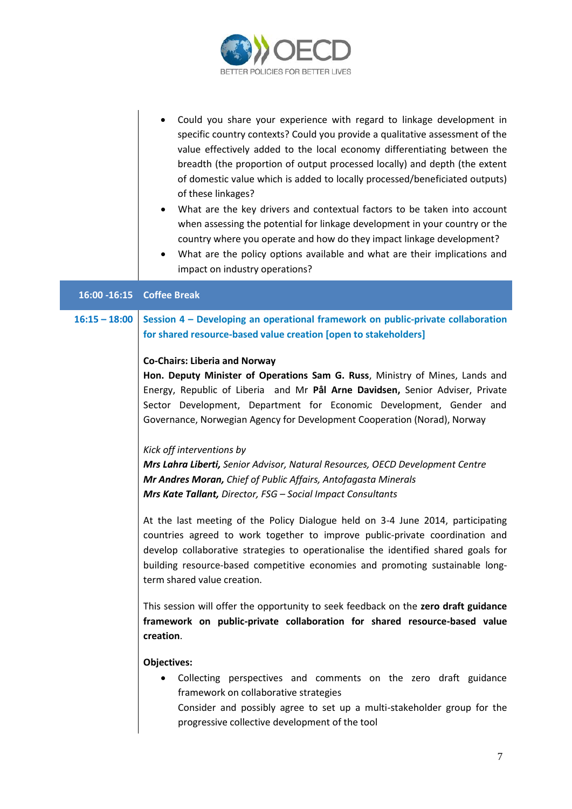

| Could you share your experience with regard to linkage development in        |
|------------------------------------------------------------------------------|
| specific country contexts? Could you provide a qualitative assessment of the |
| value effectively added to the local economy differentiating between the     |
| breadth (the proportion of output processed locally) and depth (the extent   |
| of domestic value which is added to locally processed/beneficiated outputs)  |
| of these linkages?                                                           |

- What are the key drivers and contextual factors to be taken into account when assessing the potential for linkage development in your country or the country where you operate and how do they impact linkage development?
- What are the policy options available and what are their implications and impact on industry operations?

## **16:00 -16:15 Coffee Break**

## **16:15 – 18:00 Session 4 – Developing an operational framework on public-private collaboration for shared resource-based value creation [open to stakeholders]**

#### **Co-Chairs: Liberia and Norway**

**Hon. Deputy Minister of Operations Sam G. Russ**, Ministry of Mines, Lands and Energy, Republic of Liberia and Mr **Pål Arne Davidsen,** Senior Adviser, Private Sector Development, Department for Economic Development, Gender and Governance, Norwegian Agency for Development Cooperation (Norad), Norway

### *Kick off interventions by*

*Mrs Lahra Liberti, Senior Advisor, Natural Resources, OECD Development Centre Mr Andres Moran, Chief of Public Affairs, Antofagasta Minerals Mrs Kate Tallant, Director, FSG – Social Impact Consultants*

At the last meeting of the Policy Dialogue held on 3-4 June 2014, participating countries agreed to work together to improve public-private coordination and develop collaborative strategies to operationalise the identified shared goals for building resource-based competitive economies and promoting sustainable longterm shared value creation.

This session will offer the opportunity to seek feedback on the **zero draft guidance framework on public-private collaboration for shared resource-based value creation**.

### **Objectives:**

 Collecting perspectives and comments on the zero draft guidance framework on collaborative strategies Consider and possibly agree to set up a multi-stakeholder group for the progressive collective development of the tool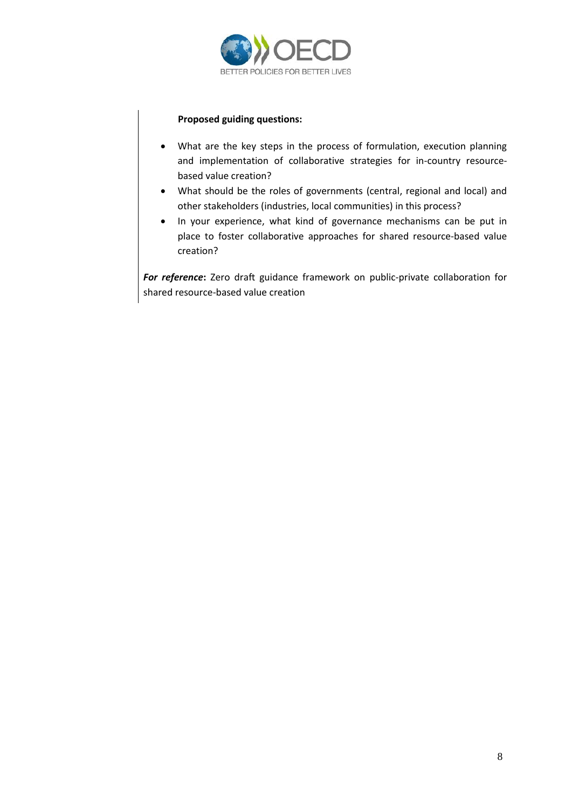

## **Proposed guiding questions:**

- What are the key steps in the process of formulation, execution planning and implementation of collaborative strategies for in-country resourcebased value creation?
- What should be the roles of governments (central, regional and local) and other stakeholders (industries, local communities) in this process?
- In your experience, what kind of governance mechanisms can be put in place to foster collaborative approaches for shared resource-based value creation?

*For reference***:** Zero draft guidance framework on public-private collaboration for shared resource-based value creation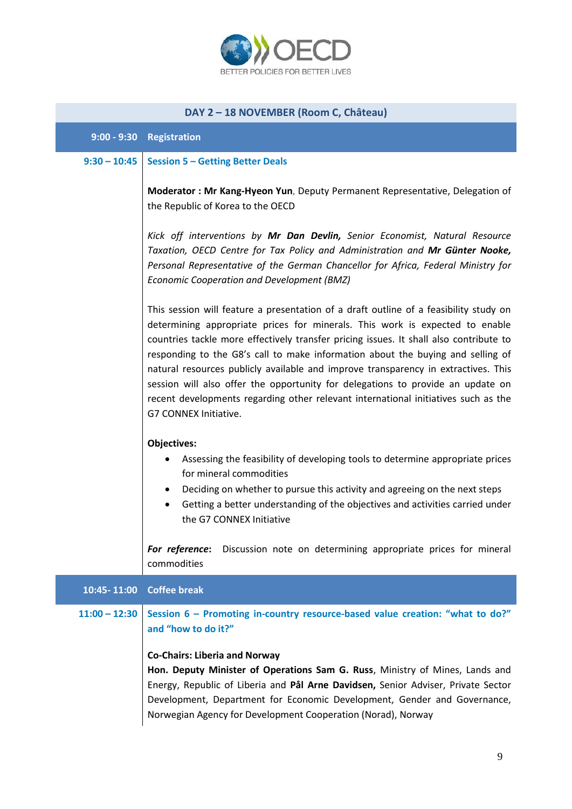

| DAY 2 - 18 NOVEMBER (Room C, Château) |                                                                                                                                                                                                                                                                                                                                                                                                                                                                                                                                                                                                                                            |  |
|---------------------------------------|--------------------------------------------------------------------------------------------------------------------------------------------------------------------------------------------------------------------------------------------------------------------------------------------------------------------------------------------------------------------------------------------------------------------------------------------------------------------------------------------------------------------------------------------------------------------------------------------------------------------------------------------|--|
| $9:00 - 9:30$                         | Registration                                                                                                                                                                                                                                                                                                                                                                                                                                                                                                                                                                                                                               |  |
| $9:30 - 10:45$                        | <b>Session 5 - Getting Better Deals</b>                                                                                                                                                                                                                                                                                                                                                                                                                                                                                                                                                                                                    |  |
|                                       | Moderator: Mr Kang-Hyeon Yun, Deputy Permanent Representative, Delegation of<br>the Republic of Korea to the OECD                                                                                                                                                                                                                                                                                                                                                                                                                                                                                                                          |  |
|                                       | Kick off interventions by Mr Dan Devlin, Senior Economist, Natural Resource<br>Taxation, OECD Centre for Tax Policy and Administration and Mr Günter Nooke,<br>Personal Representative of the German Chancellor for Africa, Federal Ministry for<br><b>Economic Cooperation and Development (BMZ)</b>                                                                                                                                                                                                                                                                                                                                      |  |
|                                       | This session will feature a presentation of a draft outline of a feasibility study on<br>determining appropriate prices for minerals. This work is expected to enable<br>countries tackle more effectively transfer pricing issues. It shall also contribute to<br>responding to the G8's call to make information about the buying and selling of<br>natural resources publicly available and improve transparency in extractives. This<br>session will also offer the opportunity for delegations to provide an update on<br>recent developments regarding other relevant international initiatives such as the<br>G7 CONNEX Initiative. |  |
|                                       | <b>Objectives:</b><br>Assessing the feasibility of developing tools to determine appropriate prices<br>for mineral commodities<br>Deciding on whether to pursue this activity and agreeing on the next steps<br>٠<br>Getting a better understanding of the objectives and activities carried under<br>the G7 CONNEX Initiative<br>For reference:<br>Discussion note on determining appropriate prices for mineral                                                                                                                                                                                                                          |  |
|                                       | commodities                                                                                                                                                                                                                                                                                                                                                                                                                                                                                                                                                                                                                                |  |
| $10:45 - 11:00$                       | <b>Coffee break</b>                                                                                                                                                                                                                                                                                                                                                                                                                                                                                                                                                                                                                        |  |
| $11:00 - 12:30$                       | Session 6 - Promoting in-country resource-based value creation: "what to do?"<br>and "how to do it?"                                                                                                                                                                                                                                                                                                                                                                                                                                                                                                                                       |  |
|                                       | <b>Co-Chairs: Liberia and Norway</b><br>Hon. Deputy Minister of Operations Sam G. Russ, Ministry of Mines, Lands and<br>Energy, Republic of Liberia and Pål Arne Davidsen, Senior Adviser, Private Sector<br>Development, Department for Economic Development, Gender and Governance,<br>Norwegian Agency for Development Cooperation (Norad), Norway                                                                                                                                                                                                                                                                                      |  |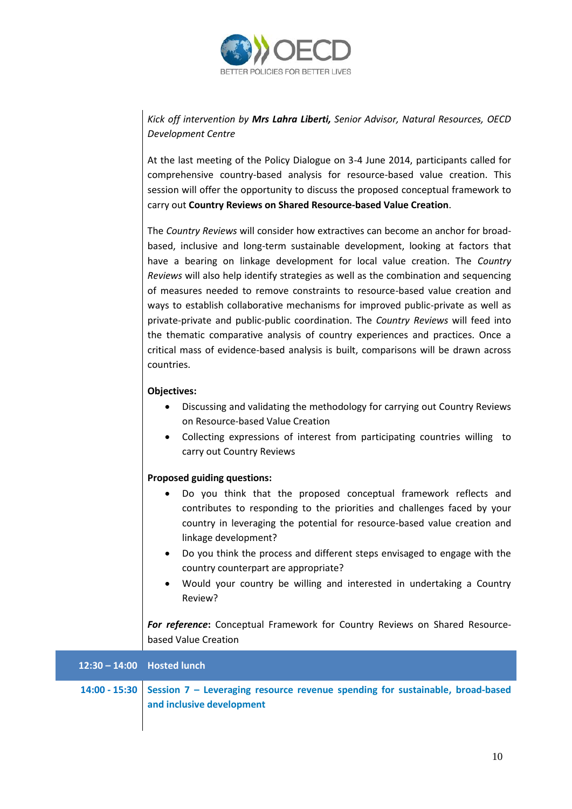

# *Kick off intervention by Mrs Lahra Liberti, Senior Advisor, Natural Resources, OECD Development Centre*

At the last meeting of the Policy Dialogue on 3-4 June 2014, participants called for comprehensive country-based analysis for resource-based value creation. This session will offer the opportunity to discuss the proposed conceptual framework to carry out **Country Reviews on Shared Resource-based Value Creation**.

The *Country Reviews* will consider how extractives can become an anchor for broadbased, inclusive and long-term sustainable development, looking at factors that have a bearing on linkage development for local value creation. The *Country Reviews* will also help identify strategies as well as the combination and sequencing of measures needed to remove constraints to resource-based value creation and ways to establish collaborative mechanisms for improved public-private as well as private-private and public-public coordination. The *Country Reviews* will feed into the thematic comparative analysis of country experiences and practices. Once a critical mass of evidence-based analysis is built, comparisons will be drawn across countries.

## **Objectives:**

- Discussing and validating the methodology for carrying out Country Reviews on Resource-based Value Creation
- Collecting expressions of interest from participating countries willing to carry out Country Reviews

## **Proposed guiding questions:**

- Do you think that the proposed conceptual framework reflects and contributes to responding to the priorities and challenges faced by your country in leveraging the potential for resource-based value creation and linkage development?
- Do you think the process and different steps envisaged to engage with the country counterpart are appropriate?
- Would your country be willing and interested in undertaking a Country Review?

*For reference***:** Conceptual Framework for Country Reviews on Shared Resourcebased Value Creation

| $12:30 - 14:00$ Hosted lunch |                                                                                                                            |
|------------------------------|----------------------------------------------------------------------------------------------------------------------------|
|                              | 14:00 - 15:30 Session $7$ – Leveraging resource revenue spending for sustainable, broad-based<br>and inclusive development |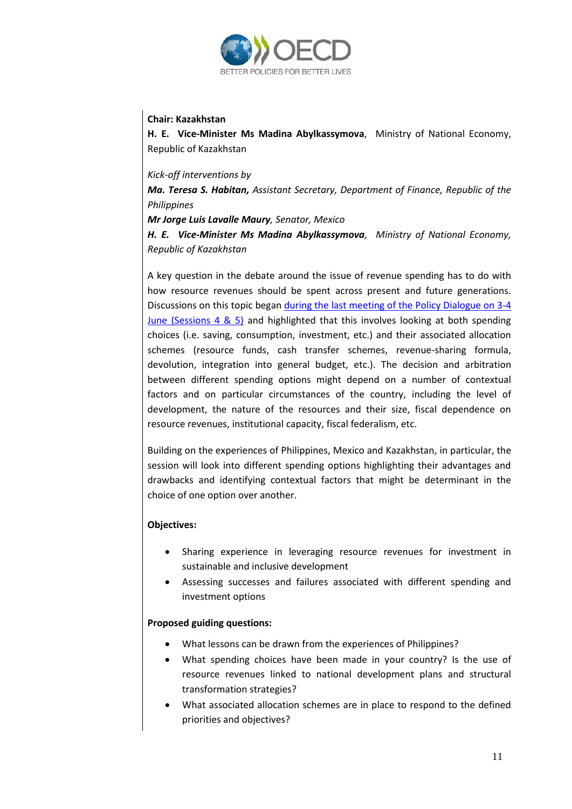

## **Chair: Kazakhstan**

**H. E. Vice-Minister Ms Madina Abylkassymova**, Ministry of National Economy, Republic of Kazakhstan

*Kick-off interventions by*

*Ma. Teresa S. Habitan, Assistant Secretary, Department of Finance, Republic of the Philippines*

*Mr Jorge Luis Lavalle Maury, Senator, Mexico*

*H. E. Vice-Minister Ms Madina Abylkassymova, Ministry of National Economy, Republic of Kazakhstan*

A key question in the debate around the issue of revenue spending has to do with how resource revenues should be spent across present and future generations. Discussions on this topic began [during the last meeting of the Policy Dialogue on 3-4](http://www.oecd.org/dev/Summary%20report_meeting%20of%20the%20PD-NR_3-4%20June%202014_ENG.pdf)  June (Sessions 4  $\&$  5) and highlighted that this involves looking at both spending choices (i.e. saving, consumption, investment, etc.) and their associated allocation schemes (resource funds, cash transfer schemes, revenue-sharing formula, devolution, integration into general budget, etc.). The decision and arbitration between different spending options might depend on a number of contextual factors and on particular circumstances of the country, including the level of development, the nature of the resources and their size, fiscal dependence on resource revenues, institutional capacity, fiscal federalism, etc.

Building on the experiences of Philippines, Mexico and Kazakhstan, in particular, the session will look into different spending options highlighting their advantages and drawbacks and identifying contextual factors that might be determinant in the choice of one option over another.

## **Objectives:**

- Sharing experience in leveraging resource revenues for investment in sustainable and inclusive development
- Assessing successes and failures associated with different spending and investment options

## **Proposed guiding questions:**

- What lessons can be drawn from the experiences of Philippines?
- What spending choices have been made in your country? Is the use of resource revenues linked to national development plans and structural transformation strategies?
- What associated allocation schemes are in place to respond to the defined priorities and objectives?